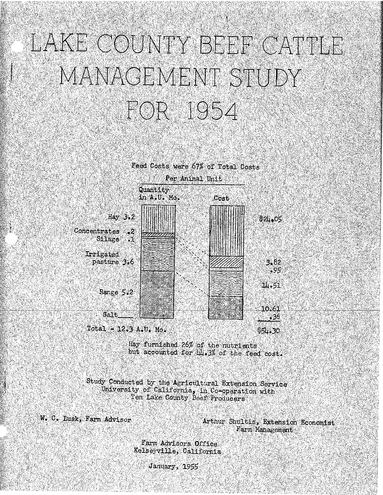# LAKE COUNTY BEEF CATTLE MANAGEMENT STUDY FOR 1954



Hay furnished 26% of the nutrients but accounted for hill. 3% of the feed cost.

Study Conducted by the Agricultural Extension Service University of California, in Co-operation with Ten Lake County Beef Producers

W. C. Eusk, Farm Advisor

Arthur Shultis, Extension Economist Farm Management

Farm Advisors Office Kelsevville, California

January, 1955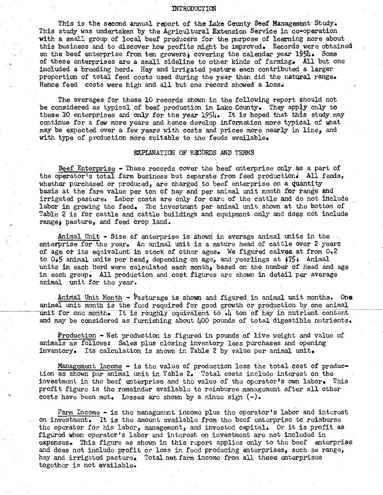#### lNTRODUCTION

This is the second annual report of the Lake County Beef Management Study. This study was undertaken by the Agricultural Extension Service in co-operation with a small group of local beef producers for the purpose of learning more about this business and to discover how profits might be improved. Records were obtained on the beef enterprise from ten growers) covering the calendar year 1954. Some of these enterprises are a small sideline to other kinds of farming. All but one included a breeding herd. Hay and irrigated pasture each contributed a larger proportion of total feed costs used during the year than did the natural range. Hence feed costs were high and all but one record showed a loss.

The averages for these 10 records shown in the following report should not be considered as typical of beef production in Lake County. They apply only to these 10 enterprises and only for the year  $1954$ . It is hoped that this study may continue for a few more years and hence develop information more typical of what may be expected over a few years with costs and prices more nearly in line, and with type of production more suitable to the feeds available.

#### EXPLANATION OF RECORDS AND TERMS

Beef Enterprise - These records cover the beef enterprise only as a part of the operator's total farm business but separate from feed production4 All feeds, whether purchased or produced, are charged to beef enterprise on a quantity basis at the farm value per ton of hay and per animal unit month for range and irrigated pasture. Labor costs are only for care of the cattle and do not include labor in growing the feed. The investment per animal unit shown at the bottom of Table 2 is for cattle and cattle buildings and equipment only and does not include range; pasture, and feed crop land,

Animal Unit - Size of enterprise is shown in average animal units in the enterprise for the year. An animal unit is a mature head of cattle over 2 years of age or its equivalent in stock of other ages. We figured calves.at from 0,2 to 045 animal units per head, depending on age, and yearlings at  $/75$ <sup>.</sup> Animal units in each herd were calculated each month, based on the number of head and age in each group. All production and cost figures are shown in detail per average animal unit for the year.

 $A$ nimal Unit Month - Pasturage is shown and figured in animal unit months. One animal unit month is the feed required for good growth or production by one animal unit for one month. It is roughly equivalent to  $\cdot$ 4 ton of hay in nutrient content and may be considered as furnishing about 400 pounds of total digestible nutrients.

Production - Net production is figured in pounds of live weight and value of animals as follows: Sales plus closing inventory less purchases and opening inventory. Its calculation is shown in Table 2 by value per animal unit.

Management Income - is the value of production less the total cost of production as shown per animal unit in Table 2. Total costs include interest on the investment in the beef enterprise and the value of the operator's own labor, This profit figure is the remainder available to reimburse management after all other costs have been met. Losses are shown by a minue sign  $(-)$ .

Farm Income - is the management income plus the operator's labor and interest on investment. It is the amount available from the beef enterprise to reimburse the operator for his labor, management, and invested capital. Or it is profit as figured when operator's labor and interest on investment are not included in expenses. This figure as shown in this report applies only to the beef enterprise and does not include profit or loss in feed producing enterprises, such as range, hay and irrigated pasture. Total net farm income from all these enterprises together is not available.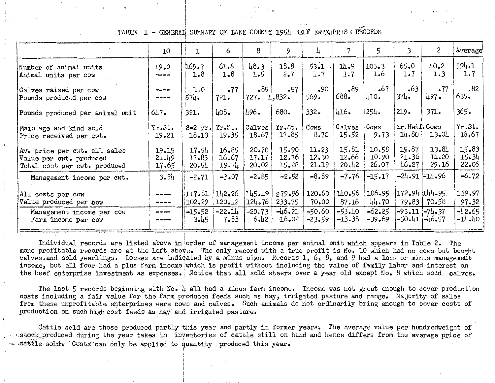## TABLE 1 - GENERAL SUMMARY OF LAKE COUNTY 1954 BEEF ENTERPRISE RECORDS

|                                                                                         | 10                                                                                                                                                                                                                                                                                                                                                                                                    | 1                           | 6                       | 8                       | 9                       | 4                       |                         | 5                       | 3                       | $\mathbf{2}$            | Average                 |
|-----------------------------------------------------------------------------------------|-------------------------------------------------------------------------------------------------------------------------------------------------------------------------------------------------------------------------------------------------------------------------------------------------------------------------------------------------------------------------------------------------------|-----------------------------|-------------------------|-------------------------|-------------------------|-------------------------|-------------------------|-------------------------|-------------------------|-------------------------|-------------------------|
| Number of animal units<br>Animal units per cow                                          | 19.0<br>na singa wa                                                                                                                                                                                                                                                                                                                                                                                   | 169.7<br>1.8                | 61.8<br>$1 - 8$         | 48.3<br>1.5             | 18.8<br>$2 - 7$         | $53 - 1$<br>1.7         | 과 3<br>1.7              | $103 - 3$<br>1.6        | 65.0<br>1.7             | 40.2<br>1.3             | 594.1<br>1.7            |
| Calves raised per cow<br>Pounds produced per cow                                        | -----<br>$- - - - -$                                                                                                                                                                                                                                                                                                                                                                                  | 1.0<br>574.                 | .77<br>721.             | .85<br>727.1,832.       | $-57$                   | .90<br>569.             | .89<br>688.             | $-67$<br>410.           | .63<br>$374 -$          | .77<br>497.             | .82<br>635.             |
| Pounds produced per animal unit                                                         | 647.                                                                                                                                                                                                                                                                                                                                                                                                  | 321.                        | $\mu$ 08.               | 1.96.                   | 680.                    | $332 -$                 | 416.                    | $254 -$                 | 219.                    | 371.                    | $365 -$                 |
| Main age and kind sold<br>Price received per cwt.                                       | Yr.St.<br>19.21                                                                                                                                                                                                                                                                                                                                                                                       | 18.13                       | S-2 yr. Yr.St.<br>19.35 | Calves<br>18.67         | Yr.St.<br>17.85         | Cows<br>8.70            | <b>Calves</b><br>15.52  | Cows<br>$9 - 73$        | Yr.Heif.Cows<br>14.80   | 13.01                   | Yr.St.<br>18.67         |
| Av. price per cwt. all sales<br>Value per cwt. produced<br>Total cost per cwt. produced | 19.15<br>21.49<br>17.65                                                                                                                                                                                                                                                                                                                                                                               | 17.54<br>$17 - 83$<br>20.54 | 16.85<br>16.67<br>19.74 | 20.70<br>17.17<br>20.02 | 15.90<br>12.76<br>15.28 | 11.23<br>12.30<br>21.19 | 15.81<br>12,66<br>20.42 | 10.58<br>10.90<br>26.07 | 15.87<br>21.36<br>46.27 | 13.84<br>14.20<br>29.16 | 15.83<br>15.34<br>22.06 |
| Management income per cwt.                                                              | 3.84                                                                                                                                                                                                                                                                                                                                                                                                  | $-2.71$                     | $-2.07$                 | $-2.85$                 | $-2.52$                 | $-8.89$                 | $-7.76$                 | $-15.17$                |                         | -24.91 -14.96           | $-6.72$                 |
| All costs per cow<br>Value produced per cow                                             | -----<br>$\frac{1}{2} \frac{1}{2} \frac{1}{2} \frac{1}{2} \frac{1}{2} \frac{1}{2} \frac{1}{2} \frac{1}{2} \frac{1}{2} \frac{1}{2} \frac{1}{2} \frac{1}{2} \frac{1}{2} \frac{1}{2} \frac{1}{2} \frac{1}{2} \frac{1}{2} \frac{1}{2} \frac{1}{2} \frac{1}{2} \frac{1}{2} \frac{1}{2} \frac{1}{2} \frac{1}{2} \frac{1}{2} \frac{1}{2} \frac{1}{2} \frac{1}{2} \frac{1}{2} \frac{1}{2} \frac{1}{2} \frac{$ | 117.81<br>102.29            | 142.26<br>120.12        | 145.49<br>124.76        | 279.96<br>233.75        | 120.60<br>70,00         | 140.56<br>87.16         | 106.95<br>44.70         | 172.94  144.95          | $79 - 83$   $70 - 58$   | 139.97<br>97.32         |
| Management income per cow<br>Farm income per cow                                        | $- - - -$                                                                                                                                                                                                                                                                                                                                                                                             | $-15.52$<br>3.45            | $-22.14$<br>$7 - 83$    | $-20.73$<br>6.42        | $-46.21$<br>16,02       | $-50.60$<br>-23.59      | $-53.40$<br>$-13.38$    | $-62.25$<br>$-39.69$    | -93.11  -74.37          | $-50.41$ $-46.57$       | $-42.65$<br>$-14.40$    |

Individual records are listed above in order of management income per animal unit which appears in Table 2. The more profitable records are at the left above. The only record with a true profit is No. 10 which had no cows but bought calves and sold yearlings. Losses are indicated by a minus sign. Records 1, 6, 8, and 9 had a loss or minus management income, but all four had a plus farm income which is profit without including the value of family labor and interest on the beef enterprise investment as expenses. Notice that all sold steers over a year old except No. 8 which sold calves.

The last 5 records beginning with No. 4 all had a minus farm income. Income was not great enough to cover production costs including a fair value for the farm produced feeds such as hay, irrigated pasture and range. Majority of sales from these unprofitable enterprises were cows and calves. Such animals do not ordinarily bring enough to cover costs of production on such high cost feeds as hay and irrigated pasture.

Cattle sold are those produced partly this year and partly in former years. The average value per hundredweight of stock produced during the year takes in inventories of cattle still on hand and hence differs from the average price of - cattle sold. Costs can only be applied to quantity produced this year.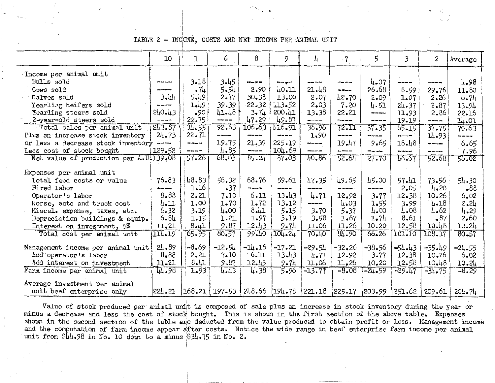TABLE 2 - INCOME, COSTS AND NET INCOME PER ANIMAL UNIT

|                                        | 10              | I                                                                                                                                                                                                                                                                                                                                                           | 6                                   | 8             | 9                | 4              | $\overline{7}$ | 5        | 3             | 2         | Average    |
|----------------------------------------|-----------------|-------------------------------------------------------------------------------------------------------------------------------------------------------------------------------------------------------------------------------------------------------------------------------------------------------------------------------------------------------------|-------------------------------------|---------------|------------------|----------------|----------------|----------|---------------|-----------|------------|
| Income per animal unit                 |                 |                                                                                                                                                                                                                                                                                                                                                             |                                     |               |                  |                |                |          |               |           |            |
| Bulls sold                             | -----           | $3 - 18$                                                                                                                                                                                                                                                                                                                                                    | 3.45                                | $- - - -$     | ---              | -----          |                | 4.07     | -----         |           | 1.98       |
|                                        | ----            | - 74                                                                                                                                                                                                                                                                                                                                                        | 5.54                                | 2.90          | 40.11            | 21.48          | $- - -$        | 26.68    | 8.59          | 29.76     | 11.80      |
| Cows sold                              | $3 - 11$        | 5.49                                                                                                                                                                                                                                                                                                                                                        | 2.77                                | 30.38         | 13.00            | 2.07           | 42.70          | 2.09     |               | 2.26      |            |
| Calves sold                            | -----           |                                                                                                                                                                                                                                                                                                                                                             |                                     |               |                  | 2.03           | 7.20           |          | 1.07          |           | 6.71       |
| Yearling heifers sold                  |                 | 1.49                                                                                                                                                                                                                                                                                                                                                        | 39.39                               | 22.32         | 113.52<br>200.41 |                | 22.21          | 4.51     | 24.37         | 2.87      | 13.94      |
| Yearling steers sold                   | 240.43          | $-90$                                                                                                                                                                                                                                                                                                                                                       | 41.48<br>-----                      | 3.71          |                  | 13.38<br>----- | -----          | ------   | 11.93         | 2.86      | 22.16      |
| 2-year-old steers sold                 | $- - - -$       | 22.75                                                                                                                                                                                                                                                                                                                                                       |                                     | 47.29         | 49.87            |                |                | -----    | 19.19         | -----     | 14.01      |
| Total sales per animal unit            | 243.87          | 34.551                                                                                                                                                                                                                                                                                                                                                      | 92.63                               | 106.63        | 416.91           | 38.96          | 72.11          | 37.35    | 65.15         | $37 - 75$ | 70.63      |
| Plus an increase stock inventory       | $24 - 73$       | 22.71                                                                                                                                                                                                                                                                                                                                                       | -----                               | ------        | -----            | 1.90           | -----          | -----    | -----         | 14.93     | ----       |
| or less a decrease stock inventory     | And the America | -----                                                                                                                                                                                                                                                                                                                                                       | 19.75                               | 21.39         | 225.19           | ----           | 19.47          | 9.65     | 18.48         | -----     | 6.65       |
| Less cost of stock bought              | 129.52          | $\frac{1}{2} \sum_{i=1}^n \frac{1}{2} \sum_{i=1}^n \frac{1}{2} \sum_{i=1}^n \frac{1}{2} \sum_{i=1}^n \frac{1}{2} \sum_{i=1}^n \frac{1}{2} \sum_{i=1}^n \frac{1}{2} \sum_{i=1}^n \frac{1}{2} \sum_{i=1}^n \frac{1}{2} \sum_{i=1}^n \frac{1}{2} \sum_{i=1}^n \frac{1}{2} \sum_{i=1}^n \frac{1}{2} \sum_{i=1}^n \frac{1}{2} \sum_{i=1}^n \frac{1}{2} \sum_{i=$ | 4.85                                | $\frac{1}{2}$ | 104.69           | -----          | -----          | ------   | ------        | ----      | 7.96       |
| Net value of production per A.U.139.08 |                 | 57.261                                                                                                                                                                                                                                                                                                                                                      | 68.03                               | 85.21         | 87.03            | 40.86          | 52.64          | 27.70    | 46.67         | 52.68     | 56.02      |
|                                        |                 |                                                                                                                                                                                                                                                                                                                                                             |                                     |               |                  |                |                |          |               |           |            |
| Expenses per animal unit               |                 |                                                                                                                                                                                                                                                                                                                                                             |                                     |               |                  |                |                |          |               |           |            |
| Total feed costs or value              | 76.83           | 48.83                                                                                                                                                                                                                                                                                                                                                       | 56.32                               | 68.76         | 59.61            | 47.35          | 49.65          | 45.00    | 57.41         | 73.56     | 54.30      |
| Hired labor                            | ----            | 1.16                                                                                                                                                                                                                                                                                                                                                        | .37                                 | -----         | -----            | -----          | ----           | ----     | 2.05          | 4.20      | -88        |
| Operator's labor                       | $8 - 88$        | 2,21                                                                                                                                                                                                                                                                                                                                                        | 7.10                                | 6.11          | 13.43            | $4 - 71$       | 12,92          | 3.77     | 12.38         | 10.26     | 6,02       |
| Horse, auto and truck cost             | 4.11            | 1.00                                                                                                                                                                                                                                                                                                                                                        | 1.70                                | 1.72          | 13.12            | -----          | 4.03           | 1.55     | 3.99          | 4.18      | 2.24       |
| Miscel. expense, taxes, etc.           | 6.32            | 3.19                                                                                                                                                                                                                                                                                                                                                        | 4.00                                | $8 - 41$      | 5.15             | 3.70           | $5 - 37$       | 4.00     | 4.08          | 4.62      | 4.29       |
| Depreciation buildings & equip.        | 6.84            | 1.15                                                                                                                                                                                                                                                                                                                                                        | 1.21                                | 1.97          | 3.19             | 3.58           | 1.67           | 1.74     | 8.61          | .87       | 2,60       |
| Interest on investment, 5%             | 11.21           | 8.41                                                                                                                                                                                                                                                                                                                                                        | 9.87                                | 12.43         | $9 - 71$         | 11.06          | 11.26          | 10.20    | 12.58         | 10.48     | 10.24      |
| Total cost per animal unit             | 1114.19         | 65.95                                                                                                                                                                                                                                                                                                                                                       | $80 - 57$                           | 99.40         | 104.24           | 70.10          | 84.90          | 66.26    | 101.10        | 108.17    | $80 - 57$  |
|                                        |                 |                                                                                                                                                                                                                                                                                                                                                             |                                     |               |                  |                |                |          |               |           |            |
| Management income per animal unit      | 24.89           | $-8.69$                                                                                                                                                                                                                                                                                                                                                     | $-12.54$                            | $-14.16$      | $-17.21$         | -29.54         | $-32.26$       | -38.56   | $-54.43$      | $-55.49$  | $-24.55$   |
| Add operator's labor                   | 8.88            | 2.21                                                                                                                                                                                                                                                                                                                                                        | 7.10                                | 6.11          | 13.43            | 4.71           | 12.92          | 3.77     | 12.38         | 10.26     | 6.02       |
| Add interest on investment             | 11.21           | $8 - 11$                                                                                                                                                                                                                                                                                                                                                    | 9.87                                | 12.43         | 9.71             | 11.06          | 11.26          | 10,20    | 12.58         | 10.48     | 10.24      |
| Farm income per animal unit            | 44.98           | 1.93                                                                                                                                                                                                                                                                                                                                                        | $4 - 43$                            | 4.38          | 5.96             | $-13.77$       | $-8.08$        | $-24.59$ | $-29.47$      | $-34.75$  | $-8.29$    |
|                                        |                 |                                                                                                                                                                                                                                                                                                                                                             |                                     |               |                  |                |                |          |               |           |            |
| Average investment per animal          |                 |                                                                                                                                                                                                                                                                                                                                                             |                                     |               |                  |                |                |          |               |           |            |
| unit beef enterprise only              | 224.21          |                                                                                                                                                                                                                                                                                                                                                             | $168.21$ $197.53$ $248.66$ $194.78$ |               |                  |                |                |          | 251.62 209.61 |           | $204 - 74$ |

Value of stock produced per animal unit is composed of sale plus an increase in stock inventory during the year or minus a decrease and less the cost of stock bought. This is shown in the first section of the above table. Expenses shown in the second section of the table are deducted from the value produced to obtain profit or loss. Management income and the computation of farm income appear after costs. Notice the wide range in beef enterprise farm income per animal unit from  $\frac{1}{4}$ .98 in No. 10 down to a minus \$34.75 in No. 2.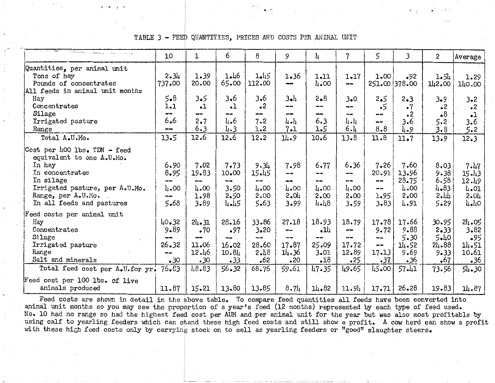#### - FEED QUANTITIES, PRICES AND COSTS PER ANIMAL UNIT TABLE 3

|                                                                                                                                                                                          | 10                                                   | ı                                                           | 6                                                     | 8                                                      | 9                                                          | 4                                                     | 7                                                       | 5                                                              | 3.                                                     | 2                                                                 | Average                                                      |
|------------------------------------------------------------------------------------------------------------------------------------------------------------------------------------------|------------------------------------------------------|-------------------------------------------------------------|-------------------------------------------------------|--------------------------------------------------------|------------------------------------------------------------|-------------------------------------------------------|---------------------------------------------------------|----------------------------------------------------------------|--------------------------------------------------------|-------------------------------------------------------------------|--------------------------------------------------------------|
| Quantities, per animal unit<br>Tons of hay<br>Pounds of concentrates                                                                                                                     | 2.34<br>737.00                                       | 1.39<br>20.00                                               | 1.46<br>65.00                                         | 1.45<br>112.00                                         | 1.36                                                       | 1.11<br>4.00                                          | 1.17<br>$- -$                                           | 1.00                                                           | •92<br>251.00 378.00                                   | 1.54<br>142.00                                                    | 1.29<br>140.00                                               |
| All feeds in animal unit months<br>Hay<br>Concentrates<br>Silage<br>Irrigated pasture                                                                                                    | $5 - 8$<br>1.1<br>--<br>6.6<br>---                   | 3.5<br>$\cdot$ 1<br>--<br>2.7<br>6.3                        | 3,6<br>$\cdot$ 1<br>4.6<br>4.3                        | 3.6<br>$\cdot^2$<br>m an<br>7.2<br>1.2                 | باء3<br>$- -$<br>$- -$<br>4.4<br>$7 - 1$                   | 2.8<br>--<br>---<br>6.3                               | 3.0<br>$\overline{\phantom{a}}$<br>--<br>և և<br>6.1     | 2.5<br>$\cdot$ 5<br>$-$<br>8.8                                 | 2.3<br>$\cdot$ 7<br>$\cdot$ 2<br>3.6                   | 3.9<br>$\cdot^2$<br>$\bullet$ <sup>8</sup><br>5.2                 | $3 - 2$<br>$\cdot^2$<br>$\cdot$ l<br>3.6                     |
| Range<br>Total A.U.Mo.                                                                                                                                                                   | 13.5                                                 | 12.6                                                        | 12.6                                                  | 12.2                                                   | 14.9                                                       | 1.5<br>10.6                                           | 13.8                                                    | 11.8                                                           | 4.9<br>11.7                                            | 3.8<br>13.9                                                       | 5.2<br>12.3                                                  |
| Cost per 400 lbs. TDN - feed<br>equivalent to one A.U.Mo.<br>In hay<br>In concentrates<br>In silage<br>Irrigated pasture, per A.U.Mo.<br>Range, per A.U.Mo.<br>In all feeds and pastures | 6,90<br>$8 - 95$<br>--<br>4.00<br>--<br>5.68         | 7.02<br>19.83<br>--<br>4.00<br>1.98<br>3.89                 | 7.73<br>10.00<br>---<br>3.50<br>2.50<br>4.45          | 9.34<br>15.45<br>--<br>4.00<br>2.00<br>5.63            | 7.98<br>÷-<br>4.00<br>2.01<br>3.99                         | $6 - 77$<br>--<br>4.00.<br>2.00<br>4.48               | 6.36<br>--<br>4.00<br>2.00<br>3.59                      | 7.26<br>20.91<br>$- -$<br>$-$<br>1.95<br>3.83                  | 7.60<br>13.96<br>$23 - 75$<br>4.00<br>2.00<br>4.91     | 8.03<br>$9 - 38$<br>6.58<br>$4 - 83$<br>2.44<br>5.29              | 7.47<br>15.43<br>12.49<br>4.01<br>2.01<br>4.40               |
| Feed costs per animal unit<br>Hay<br>Concentrates<br>Silage<br>Irrigated pasture<br>Range<br>Salt and minerals<br>Total feed cost per A.U.for yr.                                        | 40.32<br>9.89<br>---<br>26.32<br>---<br>.30<br>76.83 | 24.31<br>.70<br>--<br>11.06<br>12.46<br>$\cdot$ 30<br>48.83 | 28.16<br>.97<br>---<br>16.02<br>10.84<br>.33<br>56.32 | 33.86<br>3.20<br>--<br>28.60<br>2.48<br>$-62$<br>68.76 | 27.18<br>--<br>--<br>17.87<br>11.36<br>$\cdot$ 20<br>59.61 | 18.93<br>بلاء<br>25.09<br>3.01<br>$\cdot$ 18<br>47.35 | 18.79<br>$\sim$<br>--<br>17.72<br>12.89<br>.25<br>49.65 | 17.78<br>9.72<br>---<br>$\frac{1}{2}$<br>17.13<br>.37<br>45.00 | 17.66<br>9.88<br>5.30<br>14.52<br>9.69<br>36ء<br>57.41 | 30.95<br>2.33<br>5.40<br>24.88<br>$9 - 33$<br>$\cdot$ 67<br>73.56 | 24.05<br>3.82<br>$-95$<br>14.51<br>10.61<br>.36<br>$54 - 30$ |
| Feed cost per 100 lbs. of live<br>animals produced                                                                                                                                       | 11.87                                                | 15.21                                                       | 13.80                                                 | 13.85                                                  | $8 - 71$                                                   | 14.82                                                 | 11.94                                                   | 17.71                                                          | 26.28                                                  | 19.83                                                             | 14.87                                                        |

Feed costs are shown in detail in the above table. To compare feed quantities all feeds have been converted into animal unit months so you may see the proportion of a year's feed (12 months) represented by each type of feed used. No. 10 had no range so had the highest feed cost per AUM and per animal unit for the year but was also most profitable by using calf to yearling feeders which can stand these high feed costs and still show a profit. A cow herd can show a profit with these high feed costs only by carrying stock on to sell as yearling feeders or "good" slaughter steers.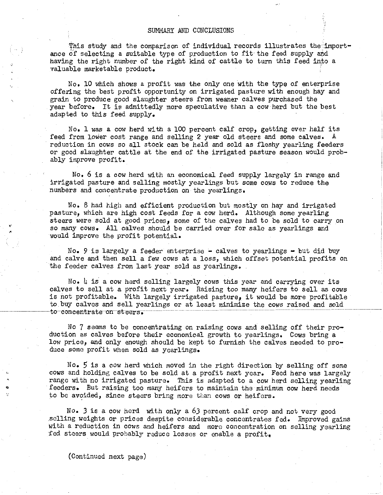'fhis study and the comparison of individual records illustrates the importance of selecting a suitable type of production to fit the feed supply and having the right number of the right kind of cattle to turn this feed into a valuable marketable product.

No. 10 which shows a profit was the only one with the type of enterprise offering the best profit opportunity on irrigated pasture with enough hay and grain to produce good slaughter steers from weaner calves purchased the year before. It is admittedly more speculative than a cow herd but the best adapted to this feed supply.

No. 1 was a cow herd with a 100 percent calf crop, getting over half its feed from lower cost range and selling 2 year old steers and some calves. A reduction in cows so all stock can be held and sold as fleshy yearling feeders or good slaughter cattle at the end of the irrigated pasture season would probably improve profit.

No. 6 is a cow herd with an economical feed supply largely in range and irrigated pasture and selling mostly yearlings but some cows to reduce the numbers and concentrate production on the yearlings.

No. 8 had high and efficient production but mostly on hay and irrigated pasture, which are high cost feeds for a cow herd. Although some yearling steers were sold at good prices, some of the calves had to be sold to carry on so many cows. All calves should be carried over for sale as yearlings and would improve the profit potential.

No. *9* is largely a feeder enterprise - calves to yearlings - but did buy and calve and then sell a few cows at a loss, which offset potential profits on the feeder calves from last year sold as yearlings.

No. 4 is a cow herd selling largely cows this year and carrying over its calves to sell at a profit next year. Raising too many heifers to sell as cows is not profitable. With largely irrigated pasture, it would be more profitable to buy calves and sell yearlings or at least minimize the cows raised and sold to concentrate on steers.

No 7 seems to be concentrating on raising cows and selling off their production as calves before their economical growth to yearlings. Cows bring a low price, and only enough should be kept to furnish the calves needed to produce some profit when sold as yearlings.

No. *5* is a cow herd which moved in the right direction by selling off some cows and holding calves to be sold at a profit next year. Feed here was largely range with no irrigated pasture. This is adapted to a cow herd selling yearling feeders. But raising too many heifers to maintain the minimum cow herd needs to be avoided, since steers bring more than cows or heifers.

No. 3 is a cow herd with only a 63 percent calf crop and not very good selling weights or prices despite considerable concentrates fed. Improved gains with a reduction in cows and heifers and more concentration on selling yearling fed steers would probably reduce losses or enable a profit.

(Continued next page)